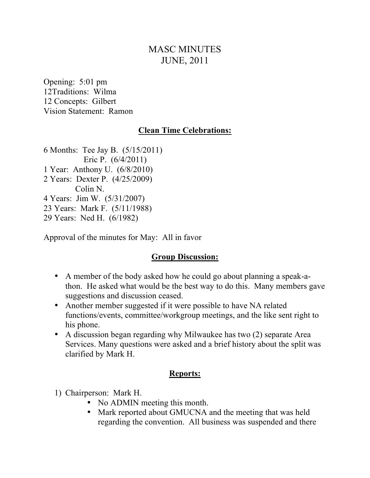# MASC MINUTES JUNE, 2011

Opening: 5:01 pm 12Traditions: Wilma 12 Concepts: Gilbert Vision Statement: Ramon

#### **Clean Time Celebrations:**

6 Months: Tee Jay B. (5/15/2011) Eric P. (6/4/2011) 1 Year: Anthony U. (6/8/2010) 2 Years: Dexter P. (4/25/2009) Colin N. 4 Years: Jim W. (5/31/2007) 23 Years: Mark F. (5/11/1988) 29 Years: Ned H. (6/1982)

Approval of the minutes for May: All in favor

### **Group Discussion:**

- A member of the body asked how he could go about planning a speak-athon. He asked what would be the best way to do this. Many members gave suggestions and discussion ceased.
- Another member suggested if it were possible to have NA related functions/events, committee/workgroup meetings, and the like sent right to his phone.
- A discussion began regarding why Milwaukee has two (2) separate Area Services. Many questions were asked and a brief history about the split was clarified by Mark H.

#### **Reports:**

- 1) Chairperson: Mark H.
	- No ADMIN meeting this month.
	- Mark reported about GMUCNA and the meeting that was held regarding the convention. All business was suspended and there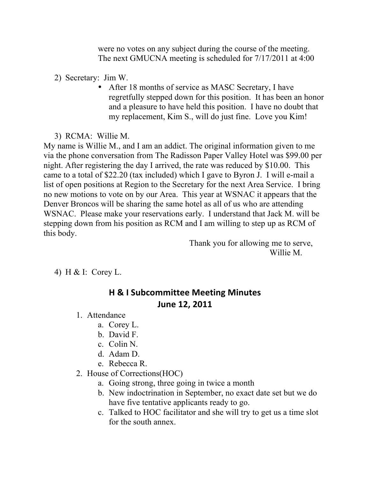were no votes on any subject during the course of the meeting. The next GMUCNA meeting is scheduled for 7/17/2011 at 4:00

2) Secretary: Jim W.

- After 18 months of service as MASC Secretary, I have regretfully stepped down for this position. It has been an honor and a pleasure to have held this position. I have no doubt that my replacement, Kim S., will do just fine. Love you Kim!
- 3) RCMA: Willie M.

My name is Willie M., and I am an addict. The original information given to me via the phone conversation from The Radisson Paper Valley Hotel was \$99.00 per night. After registering the day I arrived, the rate was reduced by \$10.00. This came to a total of \$22.20 (tax included) which I gave to Byron J. I will e-mail a list of open positions at Region to the Secretary for the next Area Service. I bring no new motions to vote on by our Area. This year at WSNAC it appears that the Denver Broncos will be sharing the same hotel as all of us who are attending WSNAC. Please make your reservations early. I understand that Jack M. will be stepping down from his position as RCM and I am willing to step up as RCM of this body.

> Thank you for allowing me to serve, Willie M.

4) H & I: Corey L.

# **H & I Subcommittee Meeting Minutes June 12, 2011**

- 1. Attendance
	- a. Corey L.
		- b. David F.
		- c. Colin N.
		- d. Adam D.
		- e. Rebecca R.

### 2. House of Corrections(HOC)

- a. Going strong, three going in twice a month
- b. New indoctrination in September, no exact date set but we do have five tentative applicants ready to go.
- c. Talked to HOC facilitator and she will try to get us a time slot for the south annex.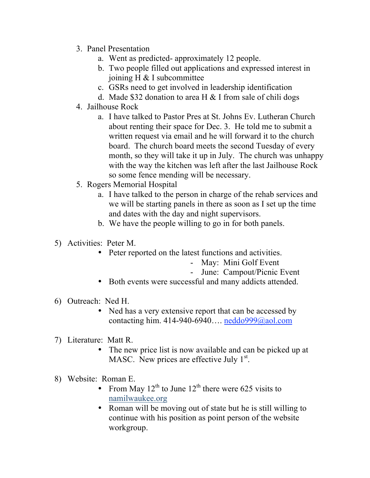- 3. Panel Presentation
	- a. Went as predicted- approximately 12 people.
	- b. Two people filled out applications and expressed interest in joining H & I subcommittee
	- c. GSRs need to get involved in leadership identification
	- d. Made \$32 donation to area H  $&$  I from sale of chili dogs
- 4. Jailhouse Rock
	- a. I have talked to Pastor Pres at St. Johns Ev. Lutheran Church about renting their space for Dec. 3. He told me to submit a written request via email and he will forward it to the church board. The church board meets the second Tuesday of every month, so they will take it up in July. The church was unhappy with the way the kitchen was left after the last Jailhouse Rock so some fence mending will be necessary.
- 5. Rogers Memorial Hospital
	- a. I have talked to the person in charge of the rehab services and we will be starting panels in there as soon as I set up the time and dates with the day and night supervisors.
	- b. We have the people willing to go in for both panels.
- 5) Activities: Peter M.
	- Peter reported on the latest functions and activities.
		- May: Mini Golf Event
		- June: Campout/Picnic Event
	- Both events were successful and many addicts attended.
- 6) Outreach: Ned H.
	- Ned has a very extensive report that can be accessed by contacting him.  $414-940-6940...$  neddo $999@a$ ol.com
- 7) Literature: Matt R.
	- The new price list is now available and can be picked up at MASC. New prices are effective July  $1<sup>st</sup>$ .
- 8) Website: Roman E.
	- From May  $12^{th}$  to June  $12^{th}$  there were 625 visits to namilwaukee.org
	- Roman will be moving out of state but he is still willing to continue with his position as point person of the website workgroup.